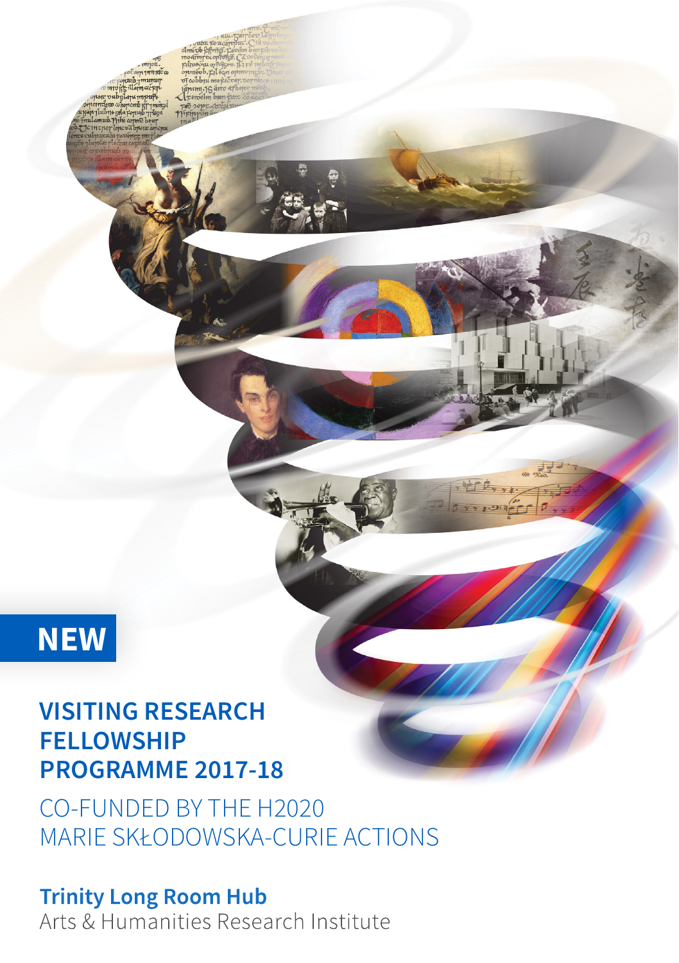# **NEW**

# **VISITING RESEARCH FELLOWSHIP PROGRAMME 2017-18**

CO-FUNDED BY THE H2020 MARIE SKŁODOWSKA-CURIE ACTIONS

**Trinity Long Room Hub** Arts & Humanities Research Institute